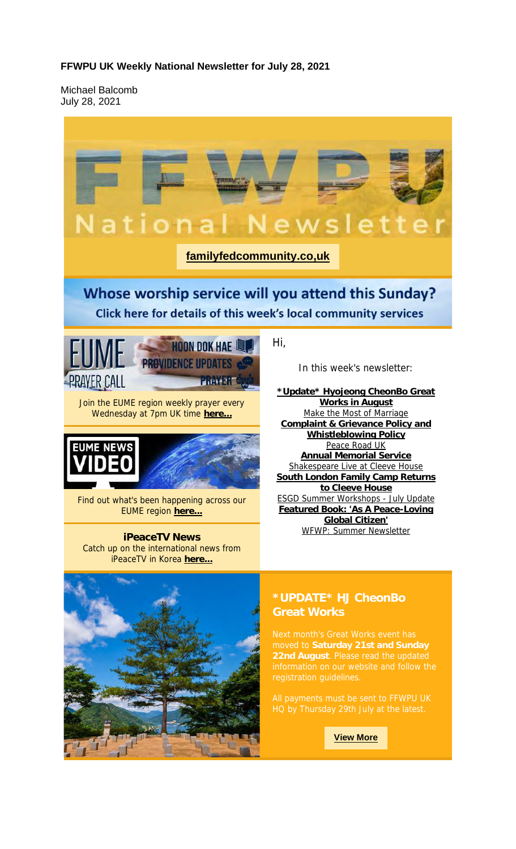#### **FFWPU UK Weekly National Newsletter for July 28, 2021**

Michael Balcomb July 28, 2021

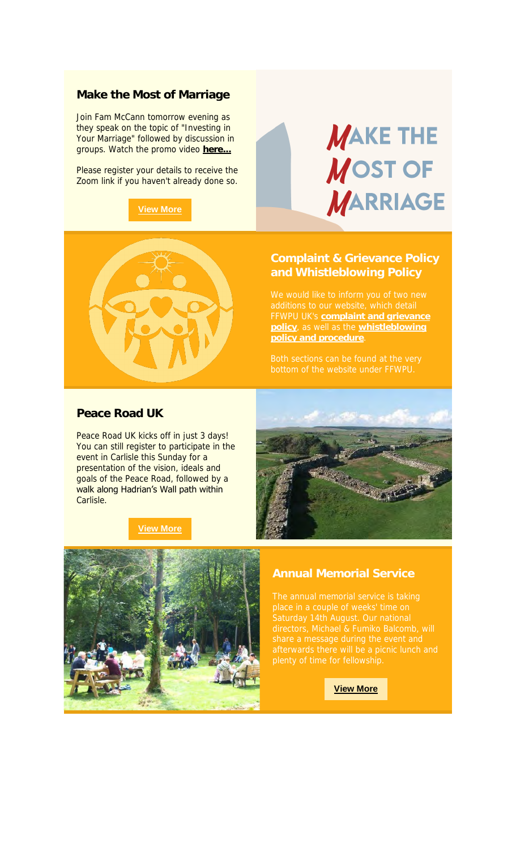#### **Make the Most of Marriage**

Join Fam McCann tomorrow evening as they speak on the topic of "Investing in Your Marriage" followed by discussion in groups. Watch the promo video **here...**

Please register your details to receive the Zoom link if you haven't already done so.

#### **View More**





FFWPU UK's **complaint and grievance policy**, as well as the **whistleblowing** 

# **Peace Road UK**

Peace Road UK kicks off in just 3 days! You can still register to participate in the event in Carlisle this Sunday for a presentation of the vision, ideals and goals of the Peace Road, followed by a walk along Hadrian's Wall path within Carlisle.

#### **View More**





## **Annual Memorial Service**

**View More**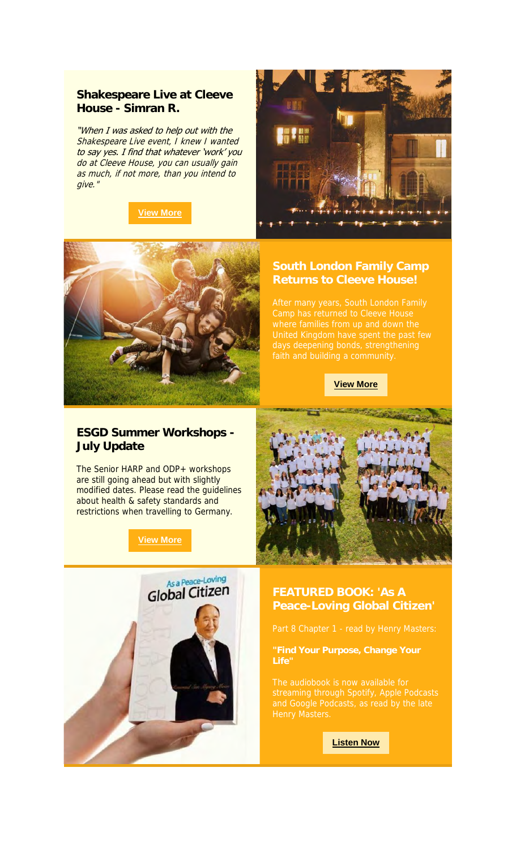# **Shakespeare Live at Cleeve House - Simran R.**

"When I was asked to help out with the Shakespeare Live event, I knew I wanted to say yes. I find that whatever 'work' you do at Cleeve House, you can usually gain as much, if not more, than you intend to give."

# **View More**





# **Returns to Cleeve House!**

**View More**

# **ESGD Summer Workshops - July Update**

The Senior HARP and ODP+ workshops are still going ahead but with slightly modified dates. Please read the guidelines about health & safety standards and restrictions when travelling to Germany.

**View More**



**Listen Now**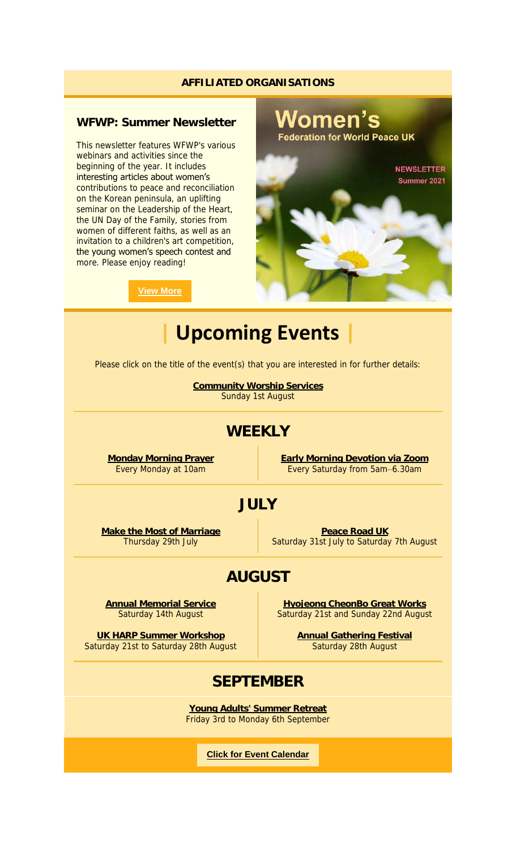#### **AFFILIATED ORGANISATIONS**

# **WFWP: Summer Newsletter**

This newsletter features WFWP's various webinars and activities since the beginning of the year. It includes interesting articles about women's contributions to peace and reconciliation on the Korean peninsula, an uplifting seminar on the Leadership of the Heart, the UN Day of the Family, stories from women of different faiths, as well as an invitation to a children's art competition, the young women's speech contest and more. Please enjoy reading!



**View More**

| <b>Upcoming Events</b>                                                                    |                                                                             |
|-------------------------------------------------------------------------------------------|-----------------------------------------------------------------------------|
| Please click on the title of the event(s) that you are interested in for further details: |                                                                             |
| <b>Community Worship Services</b><br>Sunday 1st August                                    |                                                                             |
| WEEKLY                                                                                    |                                                                             |
| <b>Monday Morning Prayer</b><br>Every Monday at 10am                                      | <b>Early Morning Devotion via Zoom</b><br>Every Saturday from 5am-6.30am    |
| JULY                                                                                      |                                                                             |
| Make the Most of Marriage<br>Thursday 29th July                                           | Peace Road UK<br>Saturday 31st July to Saturday 7th August                  |
| <b>AUGUST</b>                                                                             |                                                                             |
| <b>Annual Memorial Service</b><br>Saturday 14th August                                    | <b>Hyojeong CheonBo Great Works</b><br>Saturday 21st and Sunday 22nd August |
| UK HARP Summer Workshop<br>Saturday 21st to Saturday 28th August                          | <b>Annual Gathering Festival</b><br>Saturday 28th August                    |
| <b>SEPTEMBER</b>                                                                          |                                                                             |
|                                                                                           |                                                                             |

**Young Adults' Summer Retreat** Friday 3rd to Monday 6th September

**Click for Event Calendar**